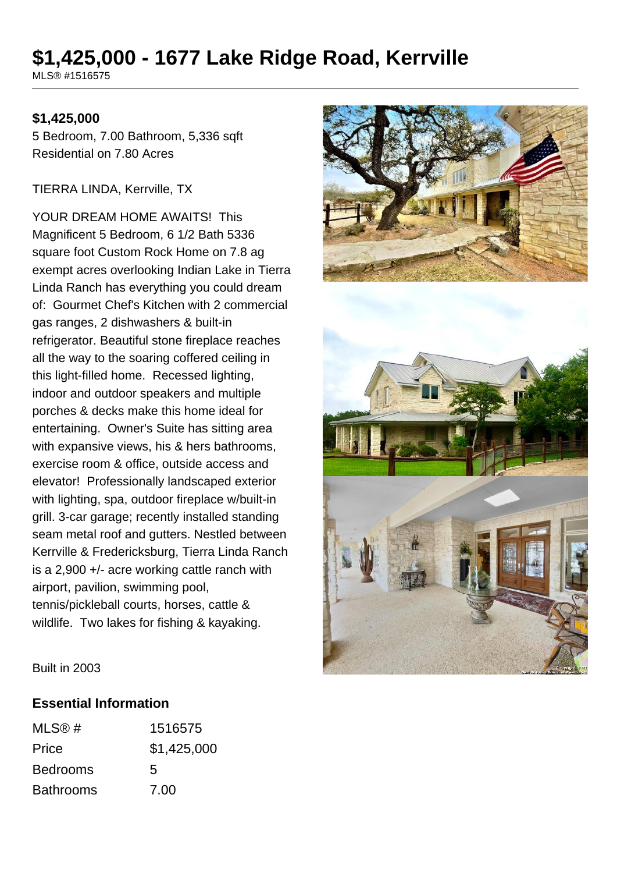# **\$1,425,000 - 1677 Lake Ridge Road, Kerrville**

MLS® #1516575

#### **\$1,425,000**

5 Bedroom, 7.00 Bathroom, 5,336 sqft Residential on 7.80 Acres

TIERRA LINDA, Kerrville, TX

YOUR DREAM HOME AWAITS! This Magnificent 5 Bedroom, 6 1/2 Bath 5336 square foot Custom Rock Home on 7.8 ag exempt acres overlooking Indian Lake in Tierra Linda Ranch has everything you could dream of: Gourmet Chef's Kitchen with 2 commercial gas ranges, 2 dishwashers & built-in refrigerator. Beautiful stone fireplace reaches all the way to the soaring coffered ceiling in this light-filled home. Recessed lighting, indoor and outdoor speakers and multiple porches & decks make this home ideal for entertaining. Owner's Suite has sitting area with expansive views, his & hers bathrooms, exercise room & office, outside access and elevator! Professionally landscaped exterior with lighting, spa, outdoor fireplace w/built-in grill. 3-car garage; recently installed standing seam metal roof and gutters. Nestled between Kerrville & Fredericksburg, Tierra Linda Ranch is a 2,900 +/- acre working cattle ranch with airport, pavilion, swimming pool, tennis/pickleball courts, horses, cattle & wildlife. Two lakes for fishing & kayaking.



Built in 2003

#### **Essential Information**

| MLS@#            | 1516575     |
|------------------|-------------|
| Price            | \$1,425,000 |
| <b>Bedrooms</b>  | 5           |
| <b>Bathrooms</b> | 7.00        |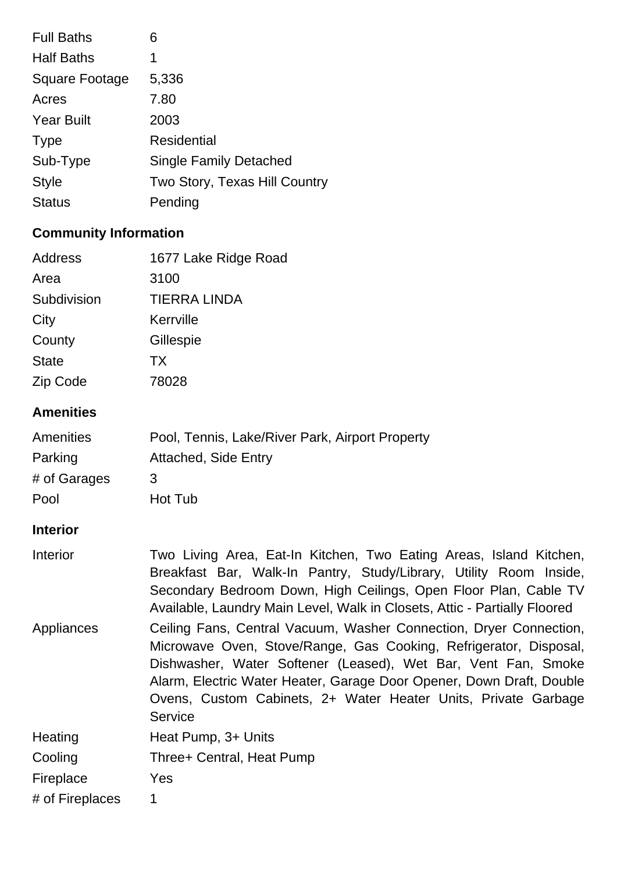| <b>Full Baths</b>     | 6                             |
|-----------------------|-------------------------------|
| <b>Half Baths</b>     | 1                             |
| <b>Square Footage</b> | 5,336                         |
| Acres                 | 7.80                          |
| <b>Year Built</b>     | 2003                          |
| <b>Type</b>           | <b>Residential</b>            |
| Sub-Type              | <b>Single Family Detached</b> |
| <b>Style</b>          | Two Story, Texas Hill Country |
| Status                | Pending                       |

# **Community Information**

| Address         | 1677 Lake Ridge Road |
|-----------------|----------------------|
| Area            | 3100                 |
| Subdivision     | <b>TIERRA LINDA</b>  |
| City            | Kerrville            |
| County          | Gillespie            |
| <b>State</b>    | <b>TX</b>            |
| <b>Zip Code</b> | 78028                |

# **Amenities**

| Amenities    | Pool, Tennis, Lake/River Park, Airport Property |
|--------------|-------------------------------------------------|
| Parking      | <b>Attached, Side Entry</b>                     |
| # of Garages | 3                                               |
| Pool         | Hot Tub                                         |

## **Interior**

| Interior        | Two Living Area, Eat-In Kitchen, Two Eating Areas, Island Kitchen,<br>Breakfast Bar, Walk-In Pantry, Study/Library, Utility Room Inside,<br>Secondary Bedroom Down, High Ceilings, Open Floor Plan, Cable TV<br>Available, Laundry Main Level, Walk in Closets, Attic - Partially Floored                                                                     |  |
|-----------------|---------------------------------------------------------------------------------------------------------------------------------------------------------------------------------------------------------------------------------------------------------------------------------------------------------------------------------------------------------------|--|
| Appliances      | Ceiling Fans, Central Vacuum, Washer Connection, Dryer Connection,<br>Microwave Oven, Stove/Range, Gas Cooking, Refrigerator, Disposal,<br>Dishwasher, Water Softener (Leased), Wet Bar, Vent Fan, Smoke<br>Alarm, Electric Water Heater, Garage Door Opener, Down Draft, Double<br>Ovens, Custom Cabinets, 2+ Water Heater Units, Private Garbage<br>Service |  |
| Heating         | Heat Pump, 3+ Units                                                                                                                                                                                                                                                                                                                                           |  |
| Cooling         | Three+ Central, Heat Pump                                                                                                                                                                                                                                                                                                                                     |  |
| Fireplace       | <b>Yes</b>                                                                                                                                                                                                                                                                                                                                                    |  |
| # of Fireplaces | 1                                                                                                                                                                                                                                                                                                                                                             |  |